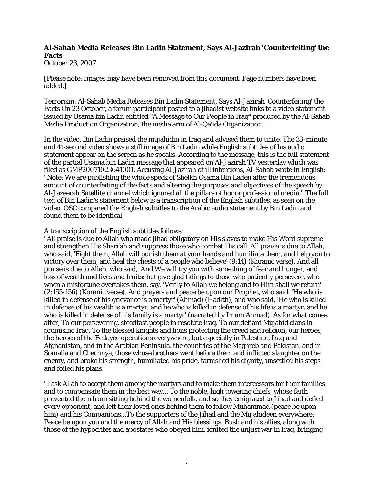## **Al-Sahab Media Releases Bin Ladin Statement, Says Al-Jazirah 'Counterfeiting' the Facts**

October 23, 2007

[Please note: Images may have been removed from this document. Page numbers have been added.]

Terrorism: Al-Sahab Media Releases Bin Ladin Statement, Says Al-Jazirah 'Counterfeiting' the Facts On 23 October, a forum participant posted to a jihadist website links to a video statement issued by Usama bin Ladin entitled "A Message to Our People in Iraq" produced by the Al-Sahab Media Production Organization, the media arm of Al-Qa'ida Organization.

In the video, Bin Ladin praised the mujahidin in Iraq and advised them to unite. The 33-minute and 41-second video shows a still image of Bin Ladin while English subtitles of his audio statement appear on the screen as he speaks. According to the message, this is the full statement of the partial Usama bin Ladin message that appeared on Al-Jazirah TV yesterday which was filed as GMP20071023641001. Accusing Al-Jazirah of ill intentions, Al-Sahab wrote in English: "Note: We are publishing the whole speck of Sheikh Osama Bin Laden after the tremendous amount of counterfeiting of the facts and altering the purposes and objectives of the speech by Al-Jazeerah Satellite channel which ignored all the pillars of honor professional media." The full text of Bin Ladin's statement below is a transcription of the English subtitles, as seen on the video. OSC compared the English subtitles to the Arabic audio statement by Bin Ladin and found them to be identical.

A transcription of the English subtitles follows:

"All praise is due to Allah who made jihad obligatory on His slaves to make His Word supreme and strengthen His Shari'ah and suppress those who combat His call. All praise is due to Allah, who said, 'Fight them, Allah will punish them at your hands and humiliate them, and help you to victory over them, and heal the chests of a people who believe' (9:14) (Koranic verse). And all praise is due to Allah, who said, 'And We will try you with something of fear and hunger, and loss of wealth and lives and fruits; but give glad tidings to those who patiently persevere, who when a misfortune overtakes them, say, 'Verily to Allah we belong and to Him shall we return' (2:155-156) (Koranic verse). And prayers and peace be upon our Prophet, who said, 'He who is killed in defense of his grievance is a martyr' (Ahmad) (Hadith), and who said, 'He who is killed in defense of his wealth is a martyr, and he who is killed in defense of his life is a martyr, and he who is killed in defense of his family is a martyr' (narrated by Imam Ahmad). As for what comes after, To our persevering, steadfast people in resolute Iraq. To our defiant Mujahid clans in promising Iraq. To the blessed knights and lions protecting the creed and religion, our heroes, the heroes of the Fedayee operations everywhere, but especially in Palestine, Iraq and Afghanistan, and in the Arabian Peninsula, the countries of the Maghreb and Pakistan, and in Somalia and Chechnya, those whose brothers went before them and inflicted slaughter on the enemy, and broke his strength, humiliated his pride, tarnished his dignity, unsettled his steps and foiled his plans.

"I ask Allah to accept them among the martyrs and to make them intercessors for their families and to compensate them in the best way... To the noble, high towering chiefs, whose faith prevented them from sitting behind the womenfolk, and so they emigrated to Jihad and defied every opponent, and left their loved ones behind them to follow Muhammad (peace be upon him) and his Companions...To the supporters of the Jihad and the Mujahideen everywhere: Peace be upon you and the mercy of Allah and His blessings. Bush and his allies, along with those of the hypocrites and apostates who obeyed him, ignited the unjust war in Iraq, bringing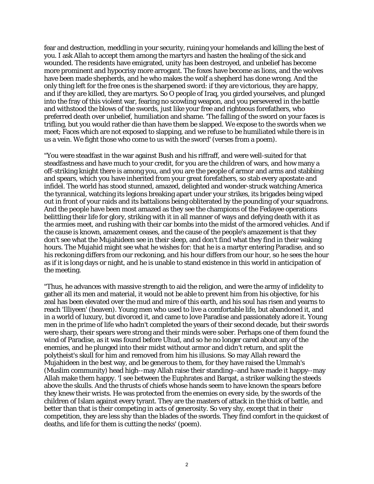fear and destruction, meddling in your security, ruining your homelands and killing the best of you. I ask Allah to accept them among the martyrs and hasten the healing of the sick and wounded. The residents have emigrated, unity has been destroyed, and unbelief has become more prominent and hypocrisy more arrogant. The foxes have become as lions, and the wolves have been made shepherds, and he who makes the wolf a shepherd has done wrong. And the only thing left for the free ones is the sharpened sword: if they are victorious, they are happy, and if they are killed, they are martyrs. So O people of Iraq, you girded yourselves, and plunged into the fray of this violent war, fearing no scowling weapon, and you persevered in the battle and withstood the blows of the swords, just like your free and righteous forefathers, who preferred death over unbelief, humiliation and shame. 'The falling of the sword on your faces is trifling, but you would rather die than have them be slapped. We expose to the swords when we meet; Faces which are not exposed to slapping, and we refuse to be humiliated while there is in us a vein. We fight those who come to us with the sword' (verses from a poem).

"You were steadfast in the war against Bush and his riffraff, and were well-suited for that steadfastness and have much to your credit, for you are the children of wars, and how many a off-striking knight there is among you, and you are the people of armor and arms and stabbing and spears, which you have inherited from your great forefathers, so stab every apostate and infidel. The world has stood stunned, amazed, delighted and wonder-struck watching America the tyrannical, watching its legions breaking apart under your strikes, its brigades being wiped out in front of your raids and its battalions being obliterated by the pounding of your squadrons. And the people have been most amazed as they see the champions of the Fedayee operations belittling their life for glory, striking with it in all manner of ways and defying death with it as the armies meet, and rushing with their car bombs into the midst of the armored vehicles. And if the cause is known, amazement ceases, and the cause of the people's amazement is that they don't see what the Mujahideen see in their sleep, and don't find what they find in their waking hours. The Mujahid might see what he wishes for: that he is a martyr entering Paradise, and so his reckoning differs from our reckoning, and his hour differs from our hour, so he sees the hour as if it is long days or night, and he is unable to stand existence in this world in anticipation of the meeting.

"Thus, he advances with massive strength to aid the religion, and were the army of infidelity to gather all its men and material, it would not be able to prevent him from his objective, for his zeal has been elevated over the mud and mire of this earth, and his soul has risen and yearns to reach 'Illiyeen' (heaven). Young men who used to live a comfortable life, but abandoned it, and in a world of luxury, but divorced it, and came to love Paradise and passionately adore it. Young men in the prime of life who hadn't completed the years of their second decade, but their swords were sharp, their spears were strong and their minds were sober. Perhaps one of them found the wind of Paradise, as it was found before Uhud, and so he no longer cared about any of the enemies, and he plunged into their midst without armor and didn't return, and split the polytheist's skull for him and removed from him his illusions. So may Allah reward the Mujahideen in the best way, and be generous to them, for they have raised the Ummah's (Muslim community) head high--may Allah raise their standing--and have made it happy--may Allah make them happy. 'I see between the Euphrates and Barqat, a striker walking the steeds above the skulls. And the thrusts of chiefs whose hands seem to have known the spears before they knew their wrists. He was protected from the enemies on every side, by the swords of the children of Islam against every tyrant. They are the masters of attack in the thick of battle, and better than that is their competing in acts of generosity. So very shy, except that in their competition, they are less shy than the blades of the swords. They find comfort in the quickest of deaths, and life for them is cutting the necks' (poem).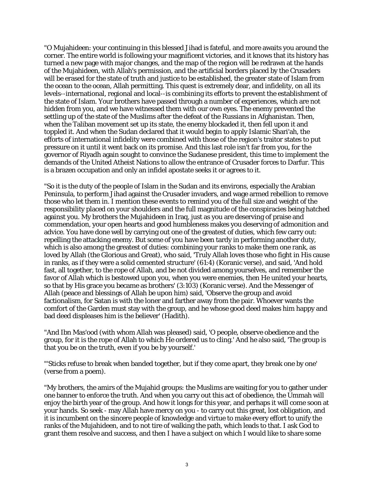"O Mujahideen: your continuing in this blessed Jihad is fateful, and more awaits you around the corner. The entire world is following your magnificent victories, and it knows that its history has turned a new page with major changes, and the map of the region will be redrawn at the hands of the Mujahideen, with Allah's permission, and the artificial borders placed by the Crusaders will be erased for the state of truth and justice to be established, the greater state of Islam from the ocean to the ocean, Allah permitting. This quest is extremely dear, and infidelity, on all its levels--international, regional and local--is combining its efforts to prevent the establishment of the state of Islam. Your brothers have passed through a number of experiences, which are not hidden from you, and we have witnessed them with our own eyes. The enemy prevented the settling up of the state of the Muslims after the defeat of the Russians in Afghanistan. Then, when the Taliban movement set up its state, the enemy blockaded it, then fell upon it and toppled it. And when the Sudan declared that it would begin to apply Islamic Shari'ah, the efforts of international infidelity were combined with those of the region's traitor states to put pressure on it until it went back on its promise. And this last role isn't far from you, for the governor of Riyadh again sought to convince the Sudanese president, this time to implement the demands of the United Atheist Nations to allow the entrance of Crusader forces to Darfur. This is a brazen occupation and only an infidel apostate seeks it or agrees to it.

"So it is the duty of the people of Islam in the Sudan and its environs, especially the Arabian Peninsula, to perform Jihad against the Crusader invaders, and wage armed rebellion to remove those who let them in. I mention these events to remind you of the full size and weight of the responsibility placed on your shoulders and the full magnitude of the conspiracies being hatched against you. My brothers the Mujahideen in Iraq, just as you are deserving of praise and commendation, your open hearts and good humbleness makes you deserving of admonition and advice. You have done well by carrying out one of the greatest of duties, which few carry out: repelling the attacking enemy. But some of you have been tardy in performing another duty, which is also among the greatest of duties: combining your ranks to make them one rank, as loved by Allah (the Glorious and Great), who said, 'Truly Allah loves those who fight in His cause in ranks, as if they were a solid cemented structure' (61:4) (Koranic verse), and said, 'And hold fast, all together, to the rope of Allah, and be not divided among yourselves, and remember the favor of Allah which is bestowed upon you, when you were enemies, then He united your hearts, so that by His grace you became as brothers' (3:103) (Koranic verse). And the Messenger of Allah (peace and blessings of Allah be upon him) said, 'Observe the group and avoid factionalism, for Satan is with the loner and farther away from the pair. Whoever wants the comfort of the Garden must stay with the group, and he whose good deed makes him happy and bad deed displeases him is the believer' (Hadith).

"And Ibn Mas'ood (with whom Allah was pleased) said, 'O people, observe obedience and the group, for it is the rope of Allah to which He ordered us to cling.' And he also said, 'The group is that you be on the truth, even if you be by yourself.'

"'Sticks refuse to break when banded together, but if they come apart, they break one by one' (verse from a poem).

"My brothers, the amirs of the Mujahid groups: the Muslims are waiting for you to gather under one banner to enforce the truth. And when you carry out this act of obedience, the Ummah will enjoy the birth year of the group. And how it longs for this year, and perhaps it will come soon at your hands. So seek - may Allah have mercy on you - to carry out this great, lost obligation, and it is incumbent on the sincere people of knowledge and virtue to make every effort to unify the ranks of the Mujahideen, and to not tire of walking the path, which leads to that. I ask God to grant them resolve and success, and then I have a subject on which I would like to share some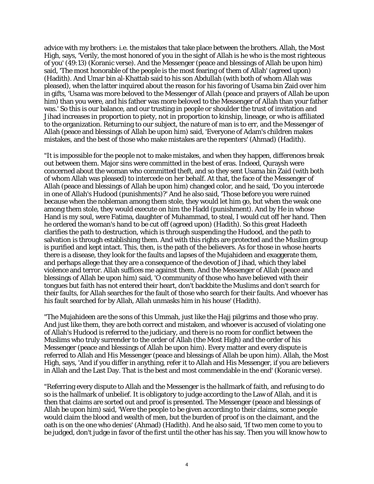advice with my brothers: i.e. the mistakes that take place between the brothers. Allah, the Most High, says, 'Verily, the most honored of you in the sight of Allah is he who is the most righteous of you' (49:13) (Koranic verse). And the Messenger (peace and blessings of Allah be upon him) said, 'The most honorable of the people is the most fearing of them of Allah' (agreed upon) (Hadith). And Umar bin al-Khattab said to his son Abdullah (with both of whom Allah was pleased), when the latter inquired about the reason for his favoring of Usama bin Zaid over him in gifts, 'Usama was more beloved to the Messenger of Allah (peace and prayers of Allah be upon him) than you were, and his father was more beloved to the Messenger of Allah than your father was.' So this is our balance, and our trusting in people or shoulder the trust of invitation and Jihad increases in proportion to piety, not in proportion to kinship, lineage, or who is affiliated to the organization. Returning to our subject, the nature of man is to err, and the Messenger of Allah (peace and blessings of Allah be upon him) said, 'Everyone of Adam's children makes mistakes, and the best of those who make mistakes are the repenters' (Ahmad) (Hadith).

"It is impossible for the people not to make mistakes, and when they happen, differences break out between them. Major sins were committed in the best of eras. Indeed, Quraysh were concerned about the woman who committed theft, and so they sent Usama bin Zaid (with both of whom Allah was pleased) to intercede on her behalf. At that, the face of the Messenger of Allah (peace and blessings of Allah be upon him) changed color, and he said, 'Do you intercede in one of Allah's Hudood (punishments)?' And he also said, 'Those before you were ruined because when the nobleman among them stole, they would let him go, but when the weak one among them stole, they would execute on him the Hadd (punishment). And by He in whose Hand is my soul, were Fatima, daughter of Muhammad, to steal, I would cut off her hand. Then he ordered the woman's hand to be cut off (agreed upon) (Hadith). So this great Hadeeth clarifies the path to destruction, which is through suspending the Hudood, and the path to salvation is through establishing them. And with this rights are protected and the Muslim group is purified and kept intact. This, then, is the path of the believers. As for those in whose hearts there is a disease, they look for the faults and lapses of the Mujahideen and exaggerate them, and perhaps allege that they are a consequence of the devotion of Jihad, which they label violence and terror. Allah suffices me against them. And the Messenger of Allah (peace and blessings of Allah be upon him) said, 'O community of those who have believed with their tongues but faith has not entered their heart, don't backbite the Muslims and don't search for their faults, for Allah searches for the fault of those who search for their faults. And whoever has his fault searched for by Allah, Allah unmasks him in his house' (Hadith).

"The Mujahideen are the sons of this Ummah, just like the Hajj pilgrims and those who pray. And just like them, they are both correct and mistaken, and whoever is accused of violating one of Allah's Hudood is referred to the judiciary, and there is no room for conflict between the Muslims who truly surrender to the order of Allah (the Most High) and the order of his Messenger (peace and blessings of Allah be upon him). Every matter and every dispute is referred to Allah and His Messenger (peace and blessings of Allah be upon him). Allah, the Most High, says, 'And if you differ in anything, refer it to Allah and His Messenger, if you are believers in Allah and the Last Day. That is the best and most commendable in the end' (Koranic verse).

"Referring every dispute to Allah and the Messenger is the hallmark of faith, and refusing to do so is the hallmark of unbelief. It is obligatory to judge according to the Law of Allah, and it is then that claims are sorted out and proof is presented. The Messenger (peace and blessings of Allah be upon him) said, 'Were the people to be given according to their claims, some people would claim the blood and wealth of men, but the burden of proof is on the claimant, and the oath is on the one who denies' (Ahmad) (Hadith). And he also said, 'If two men come to you to be judged, don't judge in favor of the first until the other has his say. Then you will know how to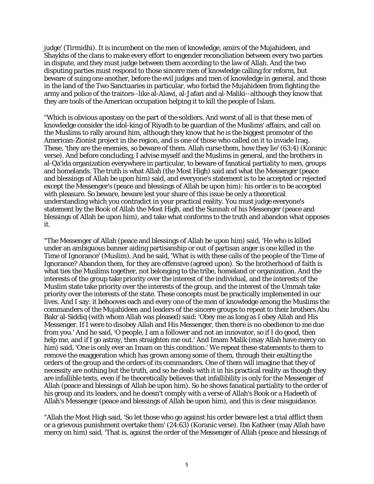judge' (Tirmidhi). It is incumbent on the men of knowledge, amirs of the Mujahideen, and Shaykhs of the clans to make every effort to engender reconciliation between every two parties in dispute, and they must judge between them according to the law of Allah. And the two disputing parties must respond to those sincere men of knowledge calling for reform, but beware of suing one another, before the evil judges and men of knowledge in general, and those in the land of the Two Sanctuaries in particular, who forbid the Mujahideen from fighting the army and police of the traitors--like al-Alawi, al-Jafari and al-Maliki--although they know that they are tools of the American occupation helping it to kill the people of Islam.

"Which is obvious apostasy on the part of the soldiers. And worst of all is that these men of knowledge consider the idol-king of Riyadh to be guardian of the Muslims' affairs, and call on the Muslims to rally around him, although they know that he is the biggest promoter of the American-Zionist project in the region, and is one of those who called on it to invade Iraq. These, 'they are the enemies, so beware of them. Allah curse them, how they lie' (63:4) (Koranic verse). And before concluding, I advise myself and the Muslims in general, and the brothers in al-Qa'ida organization everywhere in particular, to beware of fanatical partiality to men, groups and homelands. The truth is what Allah (the Most High) said and what the Messenger (peace and blessings of Allah be upon him) said, and everyone's statement is to be accepted or rejected except the Messenger's (peace and blessings of Allah be upon him): his order is to be accepted with pleasure. So beware, beware lest your share of this issue be only a theoretical understanding which you contradict in your practical reality. You must judge everyone's statement by the Book of Allah the Most High, and the Sunnah of his Messenger (peace and blessings of Allah be upon him), and take what conforms to the truth and abandon what opposes it.

"The Messenger of Allah (peace and blessings of Allah be upon him) said, 'He who is killed under an ambiguous banner aiding partisanship or out of partisan anger is one killed in the Time of Ignorance' (Muslim). And he said, 'What is with these calls of the people of the Time of Ignorance? Abandon them, for they are offensive (agreed upon). So the brotherhood of faith is what ties the Muslims together, not belonging to the tribe, homeland or organization. And the interests of the group take priority over the interest of the individual, and the interests of the Muslim state take priority over the interests of the group, and the interest of the Ummah take priority over the interests of the state. These concepts must be practically implemented in our lives. And I say: it behooves each and every one of the men of knowledge among the Muslims the commanders of the Mujahideen and leaders of the sincere groups to repeat to their brothers Abu Bakr al-Siddiq (with whom Allah was pleased) said: 'Obey me as long as I obey Allah and His Messenger. If I were to disobey Allah and His Messenger, then there is no obedience to me due from you.' And he said, 'O people, I am a follower and not an innovator, so if I do good, then help me, and if I go astray, then straighten me out.' And Imam Malik (may Allah have mercy on him) said, 'One is only ever an Imam on this condition.' We repeat these statements to them to remove the exaggeration which has grown among some of them, through their exalting the orders of the group and the orders of its commanders. One of them will imagine that they of necessity are nothing but the truth, and so he deals with it in his practical reality as though they are infallible texts, even if he theoretically believes that infallibility is only for the Messenger of Allah (peace and blessings of Allah be upon him). So he shows fanatical partiality to the order of his group and its leaders, and he doesn't comply with a verse of Allah's Book or a Hadeeth of Allah's Messenger (peace and blessings of Allah be upon him), and this is clear misguidance.

"Allah the Most High said, 'So let those who go against his order beware lest a trial afflict them or a grievous punishment overtake them' (24:63) (Koranic verse). Ibn Katheer (may Allah have mercy on him) said, 'That is, against the order of the Messenger of Allah (peace and blessings of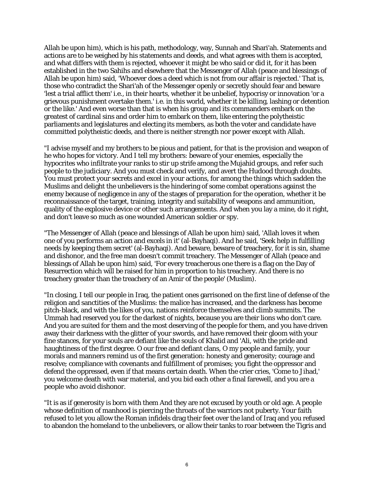Allah be upon him), which is his path, methodology, way, Sunnah and Shari'ah. Statements and actions are to be weighed by his statements and deeds, and what agrees with them is accepted, and what differs with them is rejected, whoever it might be who said or did it, for it has been established in the two Sahihs and elsewhere that the Messenger of Allah (peace and blessings of Allah be upon him) said, 'Whoever does a deed which is not from our affair is rejected.' That is, those who contradict the Shari'ah of the Messenger openly or secretly should fear and beware 'lest a trial afflict them' i.e., in their hearts, whether it be unbelief, hypocrisy or innovation 'or a grievous punishment overtake them.' i.e. in this world, whether it be killing, lashing or detention or the like.' And even worse than that is when his group and its commanders embark on the greatest of cardinal sins and order him to embark on them, like entering the polytheistic parliaments and legislatures and electing its members, as both the voter and candidate have committed polytheistic deeds, and there is neither strength nor power except with Allah.

"I advise myself and my brothers to be pious and patient, for that is the provision and weapon of he who hopes for victory. And I tell my brothers: beware of your enemies, especially the hypocrites who infiltrate your ranks to stir up strife among the Mujahid groups, and refer such people to the judiciary. And you must check and verify, and avert the Hudood through doubts. You must protect your secrets and excel in your actions, for among the things which sadden the Muslims and delight the unbelievers is the hindering of some combat operations against the enemy because of negligence in any of the stages of preparation for the operation, whether it be reconnaissance of the target, training, integrity and suitability of weapons and ammunition, quality of the explosive device or other such arrangements. And when you lay a mine, do it right, and don't leave so much as one wounded American soldier or spy.

"The Messenger of Allah (peace and blessings of Allah be upon him) said, 'Allah loves it when one of you performs an action and excels in it' (al-Bayhaqi). And he said, 'Seek help in fulfilling needs by keeping them secret' (al-Bayhaqi). And beware, beware of treachery, for it is sin, shame and dishonor, and the free man doesn't commit treachery. The Messenger of Allah (peace and blessings of Allah be upon him) said, 'For every treacherous one there is a flag on the Day of Resurrection which will be raised for him in proportion to his treachery. And there is no treachery greater than the treachery of an Amir of the people' (Muslim).

"In closing, I tell our people in Iraq, the patient ones garrisoned on the first line of defense of the religion and sanctities of the Muslims: the malice has increased, and the darkness has become pitch-black, and with the likes of you, nations reinforce themselves and climb summits. The Ummah had reserved you for the darkest of nights, because you are their lions who don't care. And you are suited for them and the most deserving of the people for them, and you have driven away their darkness with the glitter of your swords, and have removed their gloom with your fine stances, for your souls are defiant like the souls of Khalid and 'Ali, with the pride and haughtiness of the first degree. O our free and defiant clans, O my people and family, your morals and manners remind us of the first generation: honesty and generosity; courage and resolve; compliance with covenants and fulfillment of promises; you fight the oppressor and defend the oppressed, even if that means certain death. When the crier cries, 'Come to Jihad,' you welcome death with war material, and you bid each other a final farewell, and you are a people who avoid dishonor.

"It is as if generosity is born with them And they are not excused by youth or old age. A people whose definition of manhood is piercing the throats of the warriors not puberty. Your faith refused to let you allow the Roman infidels drag their feet over the land of Iraq and you refused to abandon the homeland to the unbelievers, or allow their tanks to roar between the Tigris and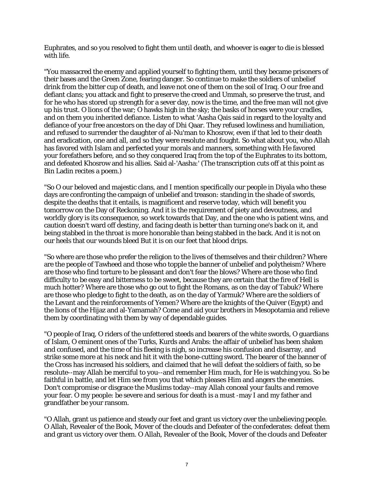Euphrates, and so you resolved to fight them until death, and whoever is eager to die is blessed with life.

"You massacred the enemy and applied yourself to fighting them, until they became prisoners of their bases and the Green Zone, fearing danger. So continue to make the soldiers of unbelief drink from the bitter cup of death, and leave not one of them on the soil of Iraq. O our free and defiant clans; you attack and fight to preserve the creed and Ummah, so preserve the trust, and for he who has stored up strength for a sever day, now is the time, and the free man will not give up his trust. O lions of the war; O hawks high in the sky; the basks of horses were your cradles, and on them you inherited defiance. Listen to what 'Aasha Qais said in regard to the loyalty and defiance of your free ancestors on the day of Dhi Qaar. They refused lowliness and humiliation, and refused to surrender the daughter of al-Nu'man to Khosrow, even if that led to their death and eradication, one and all, and so they were resolute and fought. So what about you, who Allah has favored with Islam and perfected your morals and manners, something with He favored your forefathers before, and so they conquered Iraq from the top of the Euphrates to its bottom, and defeated Khosrow and his allies. Said al-'Aasha:' (The transcription cuts off at this point as Bin Ladin recites a poem.)

"So O our beloved and majestic clans, and I mention specifically our people in Diyala who these days are confronting the campaign of unbelief and treason: standing in the shade of swords, despite the deaths that it entails, is magnificent and reserve today, which will benefit you tomorrow on the Day of Reckoning. And it is the requirement of piety and devoutness, and worldly glory is its consequence, so work towards that Day, and the one who is patient wins, and caution doesn't ward off destiny, and facing death is better than turning one's back on it, and being stabbed in the throat is more honorable than being stabbed in the back. And it is not on our heels that our wounds bleed But it is on our feet that blood drips.

"So where are those who prefer the religion to the lives of themselves and their children? Where are the people of Tawheed and those who topple the banner of unbelief and polytheism? Where are those who find torture to be pleasant and don't fear the blows? Where are those who find difficulty to be easy and bitterness to be sweet, because they are certain that the fire of Hell is much hotter? Where are those who go out to fight the Romans, as on the day of Tabuk? Where are those who pledge to fight to the death, as on the day of Yarmuk? Where are the soldiers of the Levant and the reinforcements of Yemen? Where are the knights of the Quiver (Egypt) and the lions of the Hijaz and al-Yamamah? Come and aid your brothers in Mesopotamia and relieve them by coordinating with them by way of dependable guides.

"O people of Iraq, O riders of the unfettered steeds and bearers of the white swords, O guardians of Islam, O eminent ones of the Turks, Kurds and Arabs: the affair of unbelief has been shaken and confused, and the time of his fleeing is nigh, so increase his confusion and disarray, and strike some more at his neck and hit it with the bone-cutting sword. The bearer of the banner of the Cross has increased his soldiers, and claimed that he will defeat the soldiers of faith, so be resolute--may Allah be merciful to you--and remember Him much, for He is watching you. So be faithful in battle, and let Him see from you that which pleases Him and angers the enemies. Don't compromise or disgrace the Muslims today--may Allah conceal your faults and remove your fear. O my people: be severe and serious for death is a must -may I and my father and grandfather be your ransom.

"O Allah, grant us patience and steady our feet and grant us victory over the unbelieving people. O Allah, Revealer of the Book, Mover of the clouds and Defeater of the confederates: defeat them and grant us victory over them. O Allah, Revealer of the Book, Mover of the clouds and Defeater